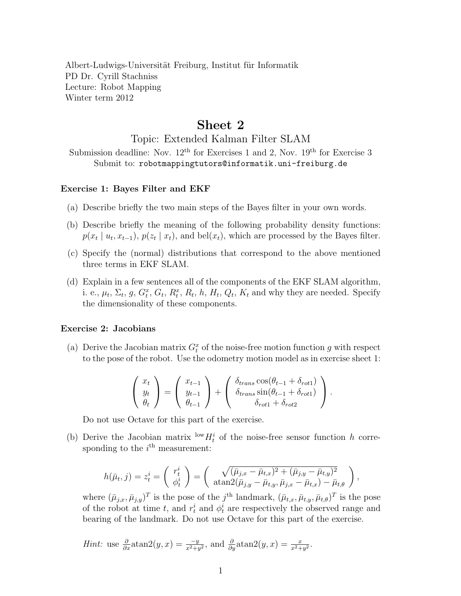Albert-Ludwigs-Universität Freiburg, Institut für Informatik PD Dr. Cyrill Stachniss Lecture: Robot Mapping Winter term 2012

## Sheet 2

Topic: Extended Kalman Filter SLAM

Submission deadline: Nov.  $12<sup>th</sup>$  for Exercises 1 and 2, Nov.  $19<sup>th</sup>$  for Exercise 3 Submit to: robotmappingtutors@informatik.uni-freiburg.de

## Exercise 1: Bayes Filter and EKF

- (a) Describe briefly the two main steps of the Bayes filter in your own words.
- (b) Describe briefly the meaning of the following probability density functions:  $p(x_t | u_t, x_{t-1}), p(z_t | x_t)$ , and bel $(x_t)$ , which are processed by the Bayes filter.
- (c) Specify the (normal) distributions that correspond to the above mentioned three terms in EKF SLAM.
- (d) Explain in a few sentences all of the components of the EKF SLAM algorithm, i. e.,  $\mu_t$ ,  $\Sigma_t$ ,  $g$ ,  $G_t^x$ ,  $G_t$ ,  $R_t^x$ ,  $R_t$ ,  $h$ ,  $H_t$ ,  $Q_t$ ,  $K_t$  and why they are needed. Specify the dimensionality of these components.

## Exercise 2: Jacobians

(a) Derive the Jacobian matrix  $G_t^x$  of the noise-free motion function g with respect to the pose of the robot. Use the odometry motion model as in exercise sheet 1:

$$
\begin{pmatrix} x_t \\ y_t \\ \theta_t \end{pmatrix} = \begin{pmatrix} x_{t-1} \\ y_{t-1} \\ \theta_{t-1} \end{pmatrix} + \begin{pmatrix} \delta_{trans} \cos(\theta_{t-1} + \delta_{rot1}) \\ \delta_{trans} \sin(\theta_{t-1} + \delta_{rot1}) \\ \delta_{rot1} + \delta_{rot2} \end{pmatrix}.
$$

Do not use Octave for this part of the exercise.

(b) Derive the Jacobian matrix  $\frac{\text{low}}{H_t^i}$  of the noise-free sensor function h corresponding to the  $i<sup>th</sup>$  measurement:

$$
h(\bar{\mu}_t, j) = z_t^i = \begin{pmatrix} r_t^i \\ \phi_t^i \end{pmatrix} = \begin{pmatrix} \sqrt{(\bar{\mu}_{j,x} - \bar{\mu}_{t,x})^2 + (\bar{\mu}_{j,y} - \bar{\mu}_{t,y})^2} \\ \alpha \tan 2(\bar{\mu}_{j,y} - \bar{\mu}_{t,y}, \bar{\mu}_{j,x} - \bar{\mu}_{t,x}) - \bar{\mu}_{t,\theta} \end{pmatrix},
$$

where  $(\bar{\mu}_{j,x}, \bar{\mu}_{j,y})^T$  is the pose of the j<sup>th</sup> landmark,  $(\bar{\mu}_{t,x}, \bar{\mu}_{t,y}, \bar{\mu}_{t,\theta})^T$  is the pose of the robot at time t, and  $r_t^i$  and  $\phi_t^i$  are respectively the observed range and bearing of the landmark. Do not use Octave for this part of the exercise.

*Hint*: use 
$$
\frac{\partial}{\partial x} \operatorname{atan2}(y, x) = \frac{-y}{x^2 + y^2}
$$
, and  $\frac{\partial}{\partial y} \operatorname{atan2}(y, x) = \frac{x}{x^2 + y^2}$ .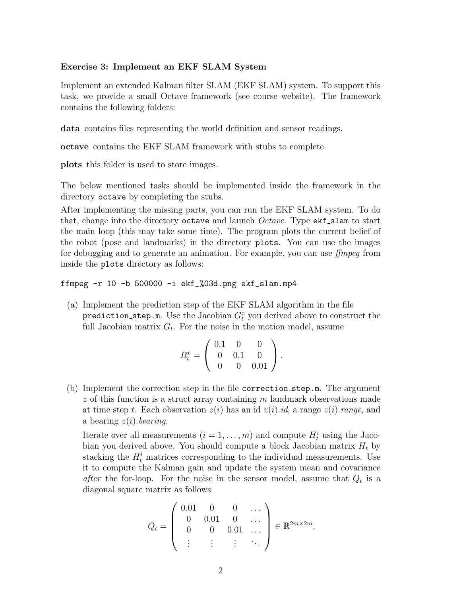## Exercise 3: Implement an EKF SLAM System

Implement an extended Kalman filter SLAM (EKF SLAM) system. To support this task, we provide a small Octave framework (see course website). The framework contains the following folders:

data contains files representing the world definition and sensor readings.

octave contains the EKF SLAM framework with stubs to complete.

plots this folder is used to store images.

The below mentioned tasks should be implemented inside the framework in the directory octave by completing the stubs.

After implementing the missing parts, you can run the EKF SLAM system. To do that, change into the directory octave and launch *Octave*. Type  $ext{est\_slam}$  to start the main loop (this may take some time). The program plots the current belief of the robot (pose and landmarks) in the directory plots. You can use the images for debugging and to generate an animation. For example, you can use ffmpeg from inside the plots directory as follows:

ffmpeg -r 10 -b 500000 -i ekf\_%03d.png ekf\_slam.mp4

(a) Implement the prediction step of the EKF SLAM algorithm in the file  ${\tt prediction\_step.m.}$  Use the Jacobian  $G_t^x$  you derived above to construct the full Jacobian matrix  $G_t$ . For the noise in the motion model, assume

$$
R_t^x = \left(\begin{array}{ccc} 0.1 & 0 & 0 \\ 0 & 0.1 & 0 \\ 0 & 0 & 0.01 \end{array}\right).
$$

(b) Implement the correction step in the file correction step.m. The argument  $z$  of this function is a struct array containing m landmark observations made at time step t. Each observation  $z(i)$  has an id  $z(i)$ .id, a range  $z(i)$ .range, and a bearing  $z(i)$ . bearing.

Iterate over all measurements  $(i = 1, \ldots, m)$  and compute  $H_t^i$  using the Jacobian you derived above. You should compute a block Jacobian matrix  $H_t$  by stacking the  $H_t^i$  matrices corresponding to the individual measurements. Use it to compute the Kalman gain and update the system mean and covariance after the for-loop. For the noise in the sensor model, assume that  $Q_t$  is a diagonal square matrix as follows

$$
Q_t = \left( \begin{array}{cccc} 0.01 & 0 & 0 & \cdots \\ 0 & 0.01 & 0 & \cdots \\ 0 & 0 & 0.01 & \cdots \\ \vdots & \vdots & \vdots & \ddots \end{array} \right) \in \mathbb{R}^{2m \times 2m}.
$$